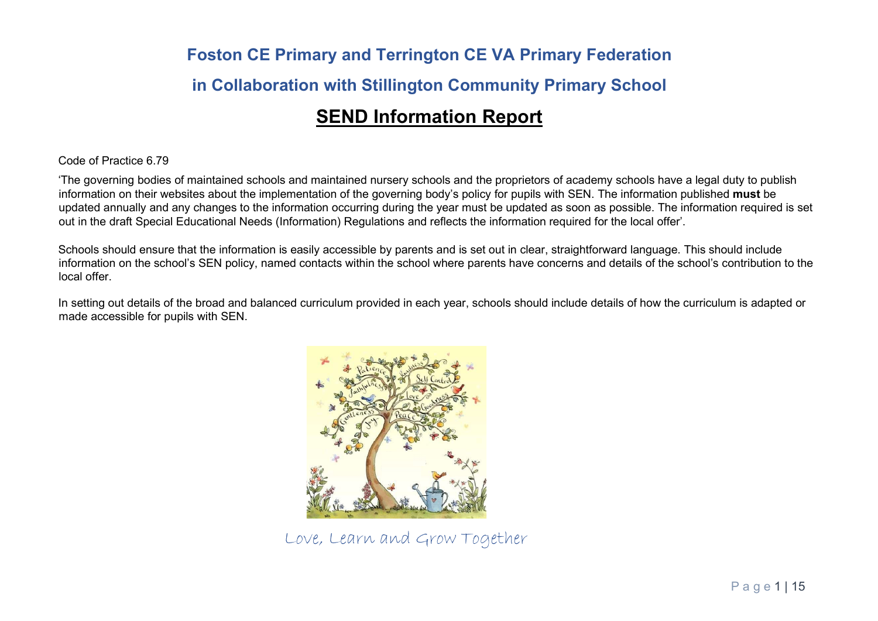# Foston CE Primary and Terrington CE VA Primary Federation in Collaboration with Stillington Community Primary School SEND Information Report

#### Code of Practice 6.79

'The governing bodies of maintained schools and maintained nursery schools and the proprietors of academy schools have a legal duty to publish information on their websites about the implementation of the governing body's policy for pupils with SEN. The information published must be updated annually and any changes to the information occurring during the year must be updated as soon as possible. The information required is set out in the draft Special Educational Needs (Information) Regulations and reflects the information required for the local offer'.

Schools should ensure that the information is easily accessible by parents and is set out in clear, straightforward language. This should include information on the school's SEN policy, named contacts within the school where parents have concerns and details of the school's contribution to the local offer.

In setting out details of the broad and balanced curriculum provided in each year, schools should include details of how the curriculum is adapted or made accessible for pupils with SEN.



Love, Learn and Grow Together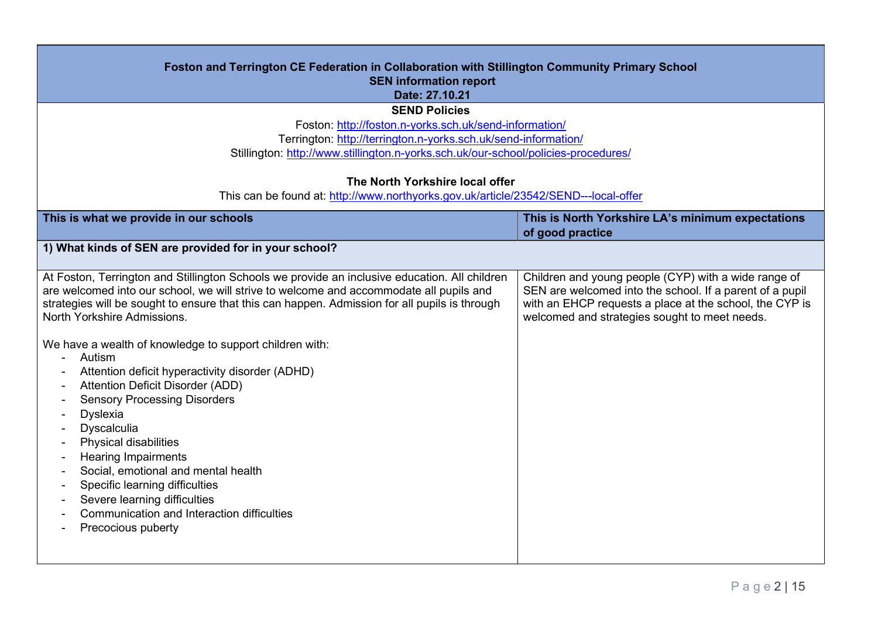| Foston and Terrington CE Federation in Collaboration with Stillington Community Primary School<br><b>SEN information report</b><br>Date: 27.10.21                                                                                                                                                                                                                                                                                                                                                                                                                                                                                                                                                                                                                                                                                                                                                                                           |                                                                                                                                                                                                                              |
|---------------------------------------------------------------------------------------------------------------------------------------------------------------------------------------------------------------------------------------------------------------------------------------------------------------------------------------------------------------------------------------------------------------------------------------------------------------------------------------------------------------------------------------------------------------------------------------------------------------------------------------------------------------------------------------------------------------------------------------------------------------------------------------------------------------------------------------------------------------------------------------------------------------------------------------------|------------------------------------------------------------------------------------------------------------------------------------------------------------------------------------------------------------------------------|
| <b>SEND Policies</b>                                                                                                                                                                                                                                                                                                                                                                                                                                                                                                                                                                                                                                                                                                                                                                                                                                                                                                                        |                                                                                                                                                                                                                              |
| Foston: http://foston.n-yorks.sch.uk/send-information/                                                                                                                                                                                                                                                                                                                                                                                                                                                                                                                                                                                                                                                                                                                                                                                                                                                                                      |                                                                                                                                                                                                                              |
| Terrington: http://terrington.n-yorks.sch.uk/send-information/                                                                                                                                                                                                                                                                                                                                                                                                                                                                                                                                                                                                                                                                                                                                                                                                                                                                              |                                                                                                                                                                                                                              |
| Stillington: http://www.stillington.n-yorks.sch.uk/our-school/policies-procedures/                                                                                                                                                                                                                                                                                                                                                                                                                                                                                                                                                                                                                                                                                                                                                                                                                                                          |                                                                                                                                                                                                                              |
|                                                                                                                                                                                                                                                                                                                                                                                                                                                                                                                                                                                                                                                                                                                                                                                                                                                                                                                                             |                                                                                                                                                                                                                              |
| The North Yorkshire local offer                                                                                                                                                                                                                                                                                                                                                                                                                                                                                                                                                                                                                                                                                                                                                                                                                                                                                                             |                                                                                                                                                                                                                              |
| This can be found at: http://www.northyorks.gov.uk/article/23542/SEND---local-offer                                                                                                                                                                                                                                                                                                                                                                                                                                                                                                                                                                                                                                                                                                                                                                                                                                                         |                                                                                                                                                                                                                              |
| This is what we provide in our schools                                                                                                                                                                                                                                                                                                                                                                                                                                                                                                                                                                                                                                                                                                                                                                                                                                                                                                      | This is North Yorkshire LA's minimum expectations<br>of good practice                                                                                                                                                        |
| 1) What kinds of SEN are provided for in your school?                                                                                                                                                                                                                                                                                                                                                                                                                                                                                                                                                                                                                                                                                                                                                                                                                                                                                       |                                                                                                                                                                                                                              |
| At Foston, Terrington and Stillington Schools we provide an inclusive education. All children<br>are welcomed into our school, we will strive to welcome and accommodate all pupils and<br>strategies will be sought to ensure that this can happen. Admission for all pupils is through<br>North Yorkshire Admissions.<br>We have a wealth of knowledge to support children with:<br>Autism<br>$\blacksquare$<br>Attention deficit hyperactivity disorder (ADHD)<br>Attention Deficit Disorder (ADD)<br>$\blacksquare$<br><b>Sensory Processing Disorders</b><br>Dyslexia<br>Dyscalculia<br>$\overline{\phantom{a}}$<br>Physical disabilities<br>$\overline{\phantom{a}}$<br><b>Hearing Impairments</b><br>$\blacksquare$<br>Social, emotional and mental health<br>$\blacksquare$<br>Specific learning difficulties<br>$\blacksquare$<br>Severe learning difficulties<br>Communication and Interaction difficulties<br>Precocious puberty | Children and young people (CYP) with a wide range of<br>SEN are welcomed into the school. If a parent of a pupil<br>with an EHCP requests a place at the school, the CYP is<br>welcomed and strategies sought to meet needs. |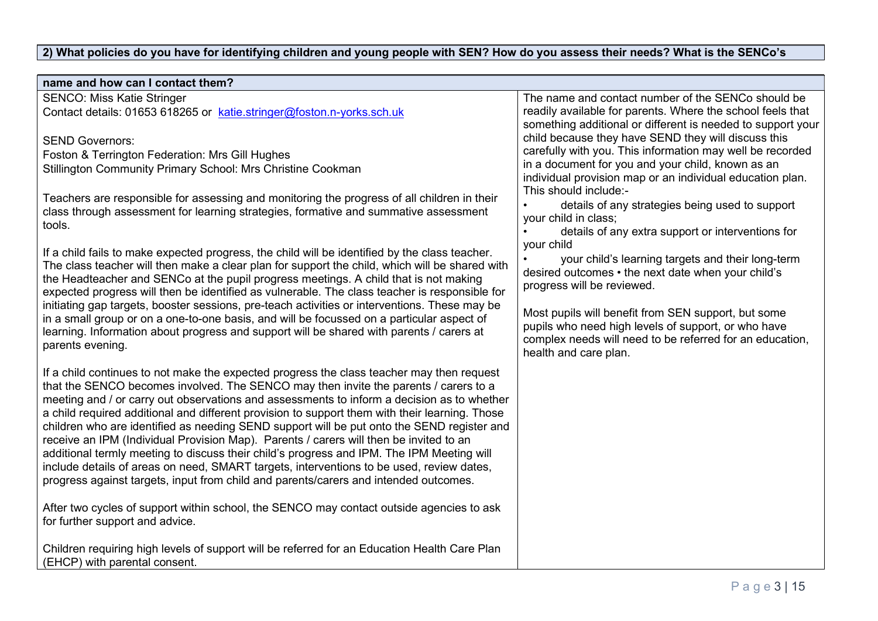# 2) What policies do you have for identifying children and young people with SEN? How do you assess their needs? What is the SENCo's

| name and how can I contact them?                                                                                                                                                             |                                                                                  |
|----------------------------------------------------------------------------------------------------------------------------------------------------------------------------------------------|----------------------------------------------------------------------------------|
| <b>SENCO: Miss Katie Stringer</b>                                                                                                                                                            | The name and contact number of the SENCo should be                               |
| Contact details: 01653 618265 or katie.stringer@foston.n-yorks.sch.uk                                                                                                                        | readily available for parents. Where the school feels that                       |
|                                                                                                                                                                                              | something additional or different is needed to support your                      |
| <b>SEND Governors:</b>                                                                                                                                                                       | child because they have SEND they will discuss this                              |
| Foston & Terrington Federation: Mrs Gill Hughes                                                                                                                                              | carefully with you. This information may well be recorded                        |
| Stillington Community Primary School: Mrs Christine Cookman                                                                                                                                  | in a document for you and your child, known as an                                |
|                                                                                                                                                                                              | individual provision map or an individual education plan.                        |
| Teachers are responsible for assessing and monitoring the progress of all children in their                                                                                                  | This should include:-                                                            |
| class through assessment for learning strategies, formative and summative assessment                                                                                                         | details of any strategies being used to support                                  |
| tools.                                                                                                                                                                                       | your child in class;                                                             |
|                                                                                                                                                                                              | details of any extra support or interventions for                                |
| If a child fails to make expected progress, the child will be identified by the class teacher.                                                                                               | your child                                                                       |
| The class teacher will then make a clear plan for support the child, which will be shared with                                                                                               | your child's learning targets and their long-term                                |
| the Headteacher and SENCo at the pupil progress meetings. A child that is not making                                                                                                         | desired outcomes • the next date when your child's<br>progress will be reviewed. |
| expected progress will then be identified as vulnerable. The class teacher is responsible for                                                                                                |                                                                                  |
| initiating gap targets, booster sessions, pre-teach activities or interventions. These may be                                                                                                | Most pupils will benefit from SEN support, but some                              |
| in a small group or on a one-to-one basis, and will be focussed on a particular aspect of                                                                                                    | pupils who need high levels of support, or who have                              |
| learning. Information about progress and support will be shared with parents / carers at                                                                                                     | complex needs will need to be referred for an education,                         |
| parents evening.                                                                                                                                                                             | health and care plan.                                                            |
|                                                                                                                                                                                              |                                                                                  |
| If a child continues to not make the expected progress the class teacher may then request                                                                                                    |                                                                                  |
| that the SENCO becomes involved. The SENCO may then invite the parents / carers to a                                                                                                         |                                                                                  |
| meeting and / or carry out observations and assessments to inform a decision as to whether<br>a child required additional and different provision to support them with their learning. Those |                                                                                  |
| children who are identified as needing SEND support will be put onto the SEND register and                                                                                                   |                                                                                  |
| receive an IPM (Individual Provision Map). Parents / carers will then be invited to an                                                                                                       |                                                                                  |
| additional termly meeting to discuss their child's progress and IPM. The IPM Meeting will                                                                                                    |                                                                                  |
| include details of areas on need, SMART targets, interventions to be used, review dates,                                                                                                     |                                                                                  |
| progress against targets, input from child and parents/carers and intended outcomes.                                                                                                         |                                                                                  |
|                                                                                                                                                                                              |                                                                                  |
| After two cycles of support within school, the SENCO may contact outside agencies to ask                                                                                                     |                                                                                  |
| for further support and advice.                                                                                                                                                              |                                                                                  |
|                                                                                                                                                                                              |                                                                                  |
| Children requiring high levels of support will be referred for an Education Health Care Plan                                                                                                 |                                                                                  |
| (EHCP) with parental consent.                                                                                                                                                                |                                                                                  |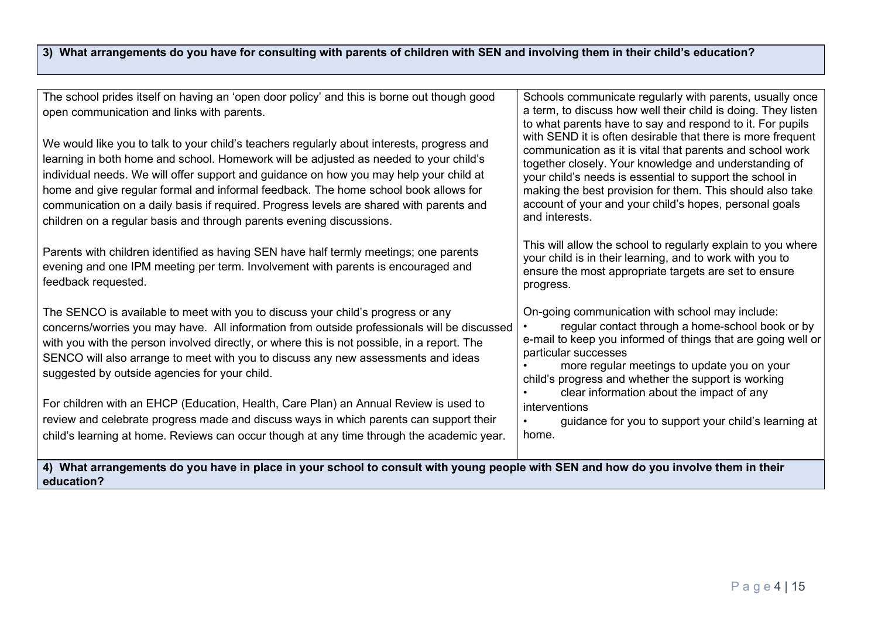## 3) What arrangements do you have for consulting with parents of children with SEN and involving them in their child's education?

The school prides itself on having an 'open door policy' and this is borne out though good open communication and links with parents.

We would like you to talk to your child's teachers regularly about interests, progress and learning in both home and school. Homework will be adjusted as needed to your child's individual needs. We will offer support and guidance on how you may help your child at home and give regular formal and informal feedback. The home school book allows for communication on a daily basis if required. Progress levels are shared with parents and children on a regular basis and through parents evening discussions.

Parents with children identified as having SEN have half termly meetings; one parents evening and one IPM meeting per term. Involvement with parents is encouraged and feedback requested.

The SENCO is available to meet with you to discuss your child's progress or any concerns/worries you may have. All information from outside professionals will be discussed with you with the person involved directly, or where this is not possible, in a report. The SENCO will also arrange to meet with you to discuss any new assessments and ideas suggested by outside agencies for your child.

For children with an EHCP (Education, Health, Care Plan) an Annual Review is used to review and celebrate progress made and discuss ways in which parents can support their child's learning at home. Reviews can occur though at any time through the academic year. Schools communicate regularly with parents, usually once a term, to discuss how well their child is doing. They listen to what parents have to say and respond to it. For pupils with SEND it is often desirable that there is more frequent communication as it is vital that parents and school work together closely. Your knowledge and understanding of your child's needs is essential to support the school in making the best provision for them. This should also take account of your and your child's hopes, personal goals and interests.

This will allow the school to regularly explain to you where your child is in their learning, and to work with you to ensure the most appropriate targets are set to ensure progress.

On-going communication with school may include:

- regular contact through a home-school book or by e-mail to keep you informed of things that are going well or particular successes
- more regular meetings to update you on your child's progress and whether the support is working
- clear information about the impact of any interventions
- guidance for you to support your child's learning at home.

4) What arrangements do you have in place in your school to consult with young people with SEN and how do you involve them in their education?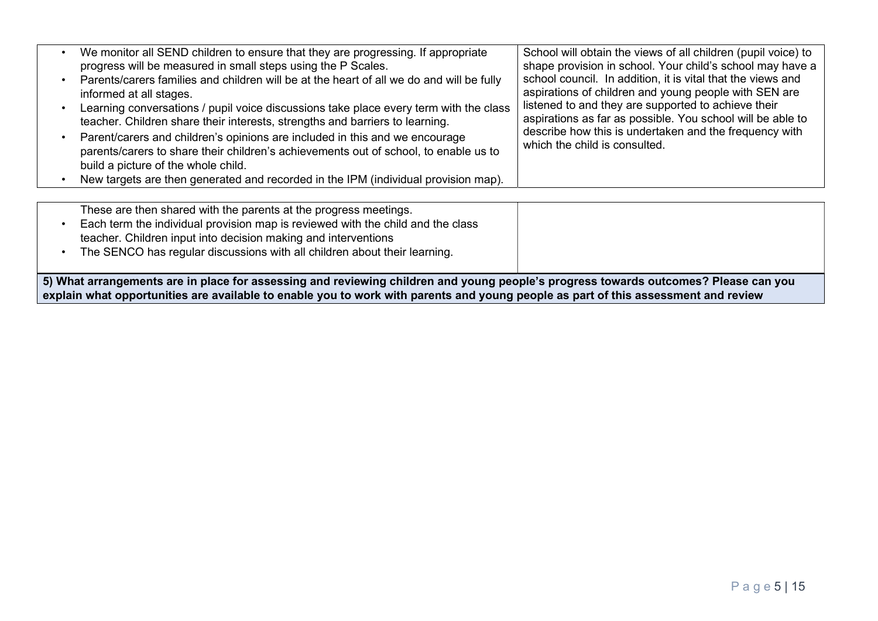| We monitor all SEND children to ensure that they are progressing. If appropriate<br>progress will be measured in small steps using the P Scales.<br>Parents/carers families and children will be at the heart of all we do and will be fully<br>informed at all stages.<br>Learning conversations / pupil voice discussions take place every term with the class<br>teacher. Children share their interests, strengths and barriers to learning.<br>Parent/carers and children's opinions are included in this and we encourage<br>parents/carers to share their children's achievements out of school, to enable us to<br>build a picture of the whole child.<br>New targets are then generated and recorded in the IPM (individual provision map). | School will obtain the views of all children (pupil voice) to<br>shape provision in school. Your child's school may have a<br>school council. In addition, it is vital that the views and<br>aspirations of children and young people with SEN are<br>listened to and they are supported to achieve their<br>aspirations as far as possible. You school will be able to<br>describe how this is undertaken and the frequency with<br>which the child is consulted. |
|------------------------------------------------------------------------------------------------------------------------------------------------------------------------------------------------------------------------------------------------------------------------------------------------------------------------------------------------------------------------------------------------------------------------------------------------------------------------------------------------------------------------------------------------------------------------------------------------------------------------------------------------------------------------------------------------------------------------------------------------------|--------------------------------------------------------------------------------------------------------------------------------------------------------------------------------------------------------------------------------------------------------------------------------------------------------------------------------------------------------------------------------------------------------------------------------------------------------------------|
| These are then shared with the parents at the progress meetings.                                                                                                                                                                                                                                                                                                                                                                                                                                                                                                                                                                                                                                                                                     |                                                                                                                                                                                                                                                                                                                                                                                                                                                                    |

• Each term the individual provision map is reviewed with the child and the class teacher. Children input into decision making and interventions

• The SENCO has regular discussions with all children about their learning.

5) What arrangements are in place for assessing and reviewing children and young people's progress towards outcomes? Please can you explain what opportunities are available to enable you to work with parents and young people as part of this assessment and review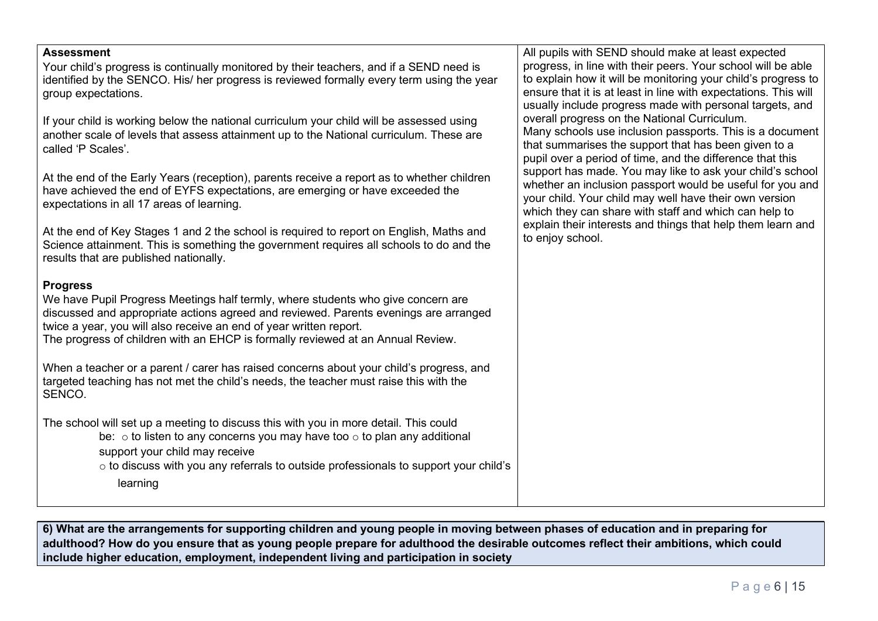#### **Assessment**

Your child's progress is continually monitored by their teachers, and if a SEND need is identified by the SENCO. His/ her progress is reviewed formally every term using the year group expectations.

If your child is working below the national curriculum your child will be assessed using another scale of levels that assess attainment up to the National curriculum. These are called 'P Scales'.

At the end of the Early Years (reception), parents receive a report as to whether children have achieved the end of EYFS expectations, are emerging or have exceeded the expectations in all 17 areas of learning.

At the end of Key Stages 1 and 2 the school is required to report on English, Maths and Science attainment. This is something the government requires all schools to do and the results that are published nationally.

#### Progress

We have Pupil Progress Meetings half termly, where students who give concern are discussed and appropriate actions agreed and reviewed. Parents evenings are arranged twice a year, you will also receive an end of year written report. The progress of children with an EHCP is formally reviewed at an Annual Review.

When a teacher or a parent / carer has raised concerns about your child's progress, and targeted teaching has not met the child's needs, the teacher must raise this with the SENCO.

The school will set up a meeting to discuss this with you in more detail. This could be:  $\circ$  to listen to any concerns you may have too  $\circ$  to plan any additional support your child may receive

> o to discuss with you any referrals to outside professionals to support your child's learning

All pupils with SEND should make at least expected progress, in line with their peers. Your school will be able to explain how it will be monitoring your child's progress to ensure that it is at least in line with expectations. This will usually include progress made with personal targets, and overall progress on the National Curriculum. Many schools use inclusion passports. This is a document that summarises the support that has been given to a pupil over a period of time, and the difference that this support has made. You may like to ask your child's school whether an inclusion passport would be useful for you and your child. Your child may well have their own version which they can share with staff and which can help to explain their interests and things that help them learn and to enjoy school.

6) What are the arrangements for supporting children and young people in moving between phases of education and in preparing for adulthood? How do you ensure that as young people prepare for adulthood the desirable outcomes reflect their ambitions, which could include higher education, employment, independent living and participation in society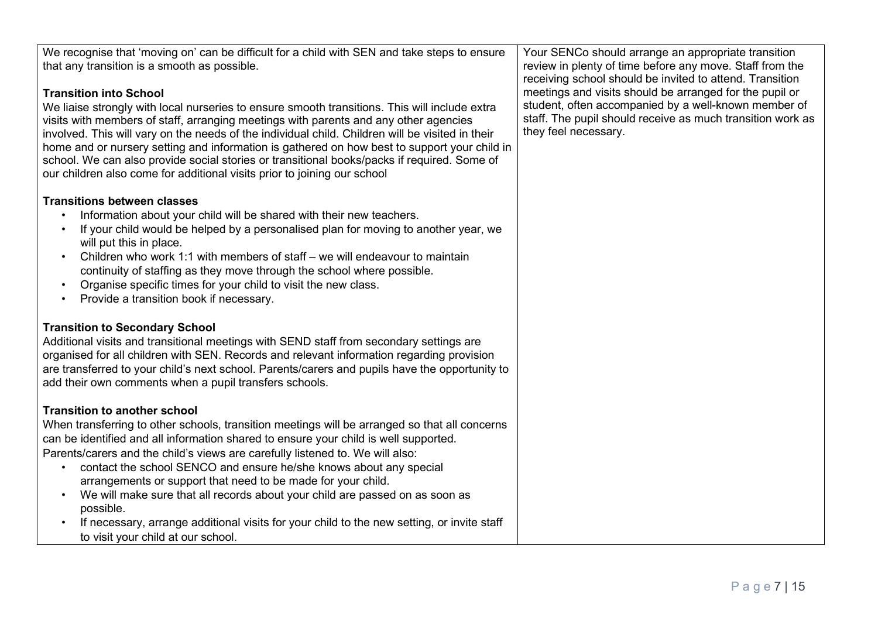We recognise that 'moving on' can be difficult for a child with SEN and take steps to ensure that any transition is a smooth as possible.

## Transition into School

We liaise strongly with local nurseries to ensure smooth transitions. This will include extra visits with members of staff, arranging meetings with parents and any other agencies involved. This will vary on the needs of the individual child. Children will be visited in their home and or nursery setting and information is gathered on how best to support your child in school. We can also provide social stories or transitional books/packs if required. Some of our children also come for additional visits prior to joining our school

## Transitions between classes

- Information about your child will be shared with their new teachers.
- If your child would be helped by a personalised plan for moving to another year, we will put this in place.
- Children who work 1:1 with members of staff we will endeavour to maintain continuity of staffing as they move through the school where possible.
- Organise specific times for your child to visit the new class.
- Provide a transition book if necessary.

# Transition to Secondary School

Additional visits and transitional meetings with SEND staff from secondary settings are organised for all children with SEN. Records and relevant information regarding provision are transferred to your child's next school. Parents/carers and pupils have the opportunity to add their own comments when a pupil transfers schools.

# Transition to another school

When transferring to other schools, transition meetings will be arranged so that all concerns can be identified and all information shared to ensure your child is well supported. Parents/carers and the child's views are carefully listened to. We will also:

- contact the school SENCO and ensure he/she knows about any special arrangements or support that need to be made for your child.
- We will make sure that all records about your child are passed on as soon as possible.
- If necessary, arrange additional visits for your child to the new setting, or invite staff to visit your child at our school.

Your SENCo should arrange an appropriate transition review in plenty of time before any move. Staff from the receiving school should be invited to attend. Transition meetings and visits should be arranged for the pupil or student, often accompanied by a well-known member of staff. The pupil should receive as much transition work as they feel necessary.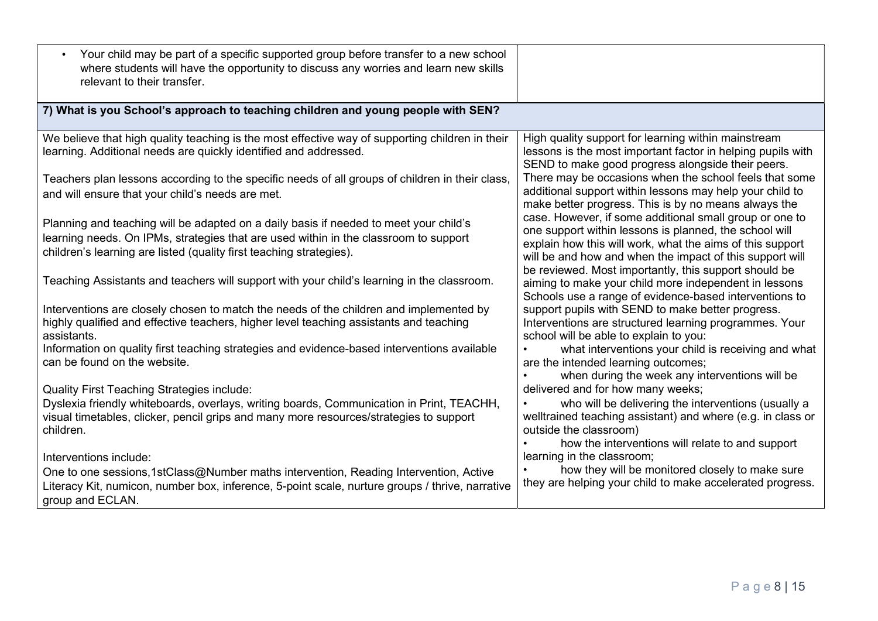| Your child may be part of a specific supported group before transfer to a new school<br>where students will have the opportunity to discuss any worries and learn new skills<br>relevant to their transfer.                                          |                                                                                                                                                                                                                                                                                                     |
|------------------------------------------------------------------------------------------------------------------------------------------------------------------------------------------------------------------------------------------------------|-----------------------------------------------------------------------------------------------------------------------------------------------------------------------------------------------------------------------------------------------------------------------------------------------------|
| 7) What is you School's approach to teaching children and young people with SEN?                                                                                                                                                                     |                                                                                                                                                                                                                                                                                                     |
| We believe that high quality teaching is the most effective way of supporting children in their<br>learning. Additional needs are quickly identified and addressed.                                                                                  | High quality support for learning within mainstream<br>lessons is the most important factor in helping pupils with<br>SEND to make good progress alongside their peers.                                                                                                                             |
| Teachers plan lessons according to the specific needs of all groups of children in their class,<br>and will ensure that your child's needs are met.                                                                                                  | There may be occasions when the school feels that some<br>additional support within lessons may help your child to<br>make better progress. This is by no means always the                                                                                                                          |
| Planning and teaching will be adapted on a daily basis if needed to meet your child's<br>learning needs. On IPMs, strategies that are used within in the classroom to support<br>children's learning are listed (quality first teaching strategies). | case. However, if some additional small group or one to<br>one support within lessons is planned, the school will<br>explain how this will work, what the aims of this support<br>will be and how and when the impact of this support will<br>be reviewed. Most importantly, this support should be |
| Teaching Assistants and teachers will support with your child's learning in the classroom.                                                                                                                                                           | aiming to make your child more independent in lessons<br>Schools use a range of evidence-based interventions to                                                                                                                                                                                     |
| Interventions are closely chosen to match the needs of the children and implemented by<br>highly qualified and effective teachers, higher level teaching assistants and teaching<br>assistants.                                                      | support pupils with SEND to make better progress.<br>Interventions are structured learning programmes. Your<br>school will be able to explain to you:                                                                                                                                               |
| Information on quality first teaching strategies and evidence-based interventions available<br>can be found on the website.                                                                                                                          | what interventions your child is receiving and what<br>are the intended learning outcomes;<br>when during the week any interventions will be                                                                                                                                                        |
| <b>Quality First Teaching Strategies include:</b>                                                                                                                                                                                                    | delivered and for how many weeks;                                                                                                                                                                                                                                                                   |
| Dyslexia friendly whiteboards, overlays, writing boards, Communication in Print, TEACHH,<br>visual timetables, clicker, pencil grips and many more resources/strategies to support<br>children.                                                      | who will be delivering the interventions (usually a<br>welltrained teaching assistant) and where (e.g. in class or<br>outside the classroom)<br>how the interventions will relate to and support                                                                                                    |
| Interventions include:                                                                                                                                                                                                                               | learning in the classroom;                                                                                                                                                                                                                                                                          |
| One to one sessions, 1stClass@Number maths intervention, Reading Intervention, Active<br>Literacy Kit, numicon, number box, inference, 5-point scale, nurture groups / thrive, narrative<br>group and ECLAN.                                         | how they will be monitored closely to make sure<br>they are helping your child to make accelerated progress.                                                                                                                                                                                        |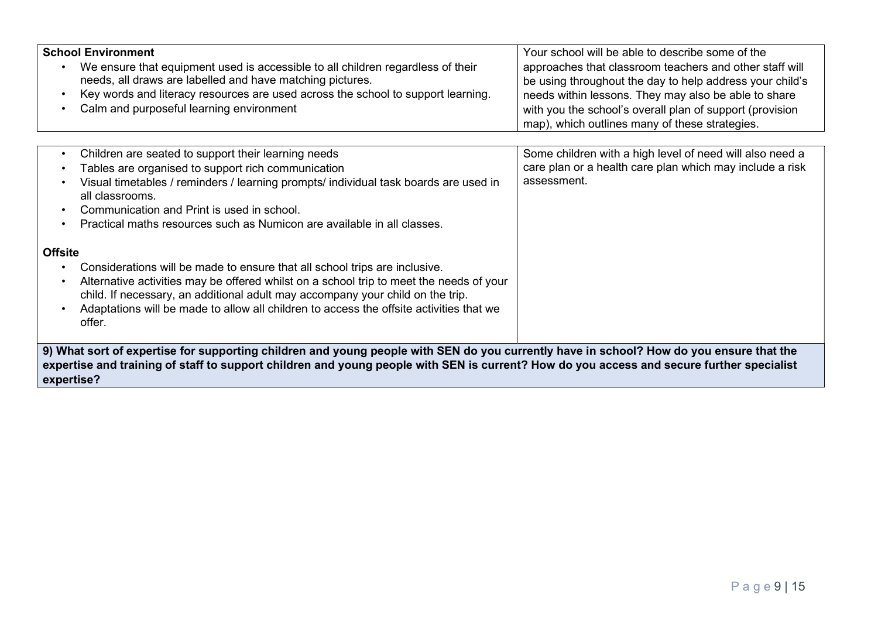| <b>School Environment</b><br>We ensure that equipment used is accessible to all children regardless of their<br>needs, all draws are labelled and have matching pictures.<br>Key words and literacy resources are used across the school to support learning.<br>$\bullet$<br>Calm and purposeful learning environment<br>$\bullet$                                                                                                                                                                                                                                                                                                                                                                                                                                                                                        | Your school will be able to describe some of the<br>approaches that classroom teachers and other staff will<br>be using throughout the day to help address your child's<br>needs within lessons. They may also be able to share<br>with you the school's overall plan of support (provision<br>map), which outlines many of these strategies. |  |
|----------------------------------------------------------------------------------------------------------------------------------------------------------------------------------------------------------------------------------------------------------------------------------------------------------------------------------------------------------------------------------------------------------------------------------------------------------------------------------------------------------------------------------------------------------------------------------------------------------------------------------------------------------------------------------------------------------------------------------------------------------------------------------------------------------------------------|-----------------------------------------------------------------------------------------------------------------------------------------------------------------------------------------------------------------------------------------------------------------------------------------------------------------------------------------------|--|
| Children are seated to support their learning needs<br>$\bullet$<br>Tables are organised to support rich communication<br>$\bullet$<br>Visual timetables / reminders / learning prompts/ individual task boards are used in<br>all classrooms.<br>Communication and Print is used in school.<br>$\bullet$<br>Practical maths resources such as Numicon are available in all classes.<br>$\bullet$<br><b>Offsite</b><br>Considerations will be made to ensure that all school trips are inclusive.<br>$\bullet$<br>Alternative activities may be offered whilst on a school trip to meet the needs of your<br>$\bullet$<br>child. If necessary, an additional adult may accompany your child on the trip.<br>Adaptations will be made to allow all children to access the offsite activities that we<br>$\bullet$<br>offer. | Some children with a high level of need will also need a<br>care plan or a health care plan which may include a risk<br>assessment.                                                                                                                                                                                                           |  |
| 9) What sort of expertise for supporting children and young people with SEN do you currently have in school? How do you ensure that the<br>expertise and training of staff to support children and young people with SEN is current? How do you access and secure further specialist<br>expertise?                                                                                                                                                                                                                                                                                                                                                                                                                                                                                                                         |                                                                                                                                                                                                                                                                                                                                               |  |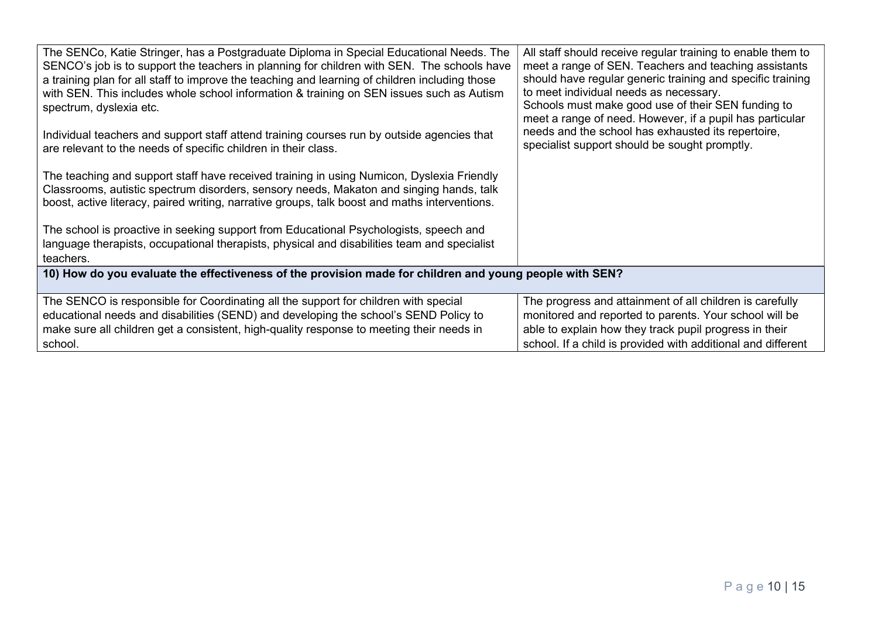| The SENCo, Katie Stringer, has a Postgraduate Diploma in Special Educational Needs. The<br>SENCO's job is to support the teachers in planning for children with SEN. The schools have<br>a training plan for all staff to improve the teaching and learning of children including those<br>with SEN. This includes whole school information & training on SEN issues such as Autism<br>spectrum, dyslexia etc. | All staff should receive regular training to enable them to<br>meet a range of SEN. Teachers and teaching assistants<br>should have regular generic training and specific training<br>to meet individual needs as necessary.<br>Schools must make good use of their SEN funding to<br>meet a range of need. However, if a pupil has particular |  |
|----------------------------------------------------------------------------------------------------------------------------------------------------------------------------------------------------------------------------------------------------------------------------------------------------------------------------------------------------------------------------------------------------------------|------------------------------------------------------------------------------------------------------------------------------------------------------------------------------------------------------------------------------------------------------------------------------------------------------------------------------------------------|--|
| Individual teachers and support staff attend training courses run by outside agencies that<br>are relevant to the needs of specific children in their class.                                                                                                                                                                                                                                                   | needs and the school has exhausted its repertoire,<br>specialist support should be sought promptly.                                                                                                                                                                                                                                            |  |
| The teaching and support staff have received training in using Numicon, Dyslexia Friendly<br>Classrooms, autistic spectrum disorders, sensory needs, Makaton and singing hands, talk<br>boost, active literacy, paired writing, narrative groups, talk boost and maths interventions.                                                                                                                          |                                                                                                                                                                                                                                                                                                                                                |  |
| The school is proactive in seeking support from Educational Psychologists, speech and<br>language therapists, occupational therapists, physical and disabilities team and specialist<br>teachers.                                                                                                                                                                                                              |                                                                                                                                                                                                                                                                                                                                                |  |
| 10) How do you evaluate the effectiveness of the provision made for children and young people with SEN?                                                                                                                                                                                                                                                                                                        |                                                                                                                                                                                                                                                                                                                                                |  |
| The SENCO is responsible for Coordinating all the support for children with special<br>educational needs and disabilities (SEND) and developing the school's SEND Policy to<br>make sure all children get a consistent, high-quality response to meeting their needs in<br>school.                                                                                                                             | The progress and attainment of all children is carefully<br>monitored and reported to parents. Your school will be<br>able to explain how they track pupil progress in their<br>school. If a child is provided with additional and different                                                                                                   |  |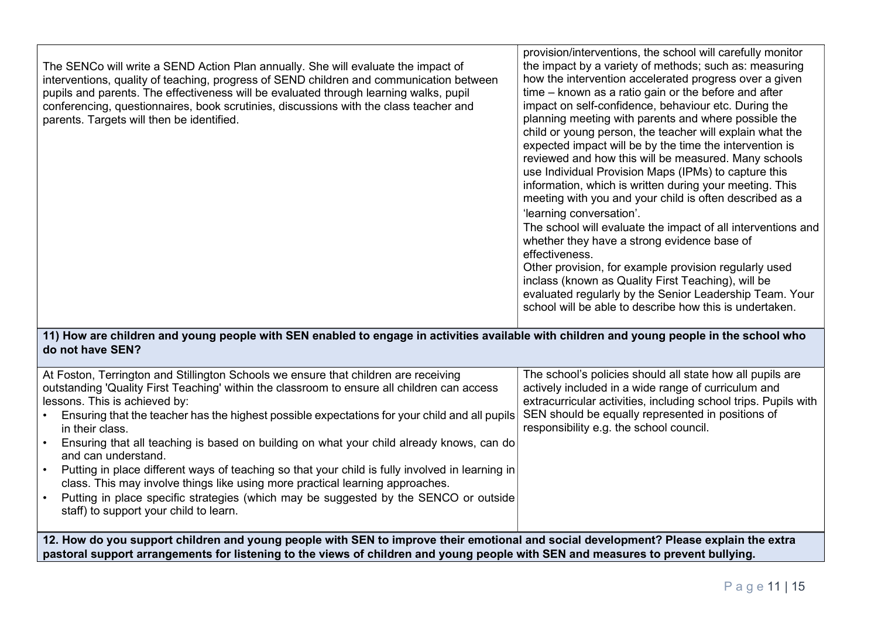|                                                                                         | provision/interventions, the school will carefully monitor   |
|-----------------------------------------------------------------------------------------|--------------------------------------------------------------|
| The SENCo will write a SEND Action Plan annually. She will evaluate the impact of       | the impact by a variety of methods; such as: measuring       |
| interventions, quality of teaching, progress of SEND children and communication between | how the intervention accelerated progress over a given       |
| pupils and parents. The effectiveness will be evaluated through learning walks, pupil   | time – known as a ratio gain or the before and after         |
| conferencing, questionnaires, book scrutinies, discussions with the class teacher and   | impact on self-confidence, behaviour etc. During the         |
| parents. Targets will then be identified.                                               | planning meeting with parents and where possible the         |
|                                                                                         | child or young person, the teacher will explain what the     |
|                                                                                         | expected impact will be by the time the intervention is      |
|                                                                                         | reviewed and how this will be measured. Many schools         |
|                                                                                         | use Individual Provision Maps (IPMs) to capture this         |
|                                                                                         | information, which is written during your meeting. This      |
|                                                                                         | meeting with you and your child is often described as a      |
|                                                                                         | 'learning conversation'.                                     |
|                                                                                         | The school will evaluate the impact of all interventions and |
|                                                                                         |                                                              |
|                                                                                         | whether they have a strong evidence base of                  |
|                                                                                         | effectiveness.                                               |
|                                                                                         | Other provision, for example provision regularly used        |
|                                                                                         | inclass (known as Quality First Teaching), will be           |
|                                                                                         | evaluated regularly by the Senior Leadership Team. Your      |
|                                                                                         | school will be able to describe how this is undertaken.      |

11) How are children and young people with SEN enabled to engage in activities available with children and young people in the school who do not have SEN?

| At Foston, Terrington and Stillington Schools we ensure that children are receiving<br>outstanding 'Quality First Teaching' within the classroom to ensure all children can access<br>lessons. This is achieved by:                                                       | The school's policies should all state how all pupils are<br>actively included in a wide range of curriculum and<br>extracurricular activities, including school trips. Pupils with |  |
|---------------------------------------------------------------------------------------------------------------------------------------------------------------------------------------------------------------------------------------------------------------------------|-------------------------------------------------------------------------------------------------------------------------------------------------------------------------------------|--|
| Ensuring that the teacher has the highest possible expectations for your child and all pupils<br>in their class.                                                                                                                                                          | SEN should be equally represented in positions of<br>responsibility e.g. the school council.                                                                                        |  |
| Ensuring that all teaching is based on building on what your child already knows, can do<br>and can understand.                                                                                                                                                           |                                                                                                                                                                                     |  |
| Putting in place different ways of teaching so that your child is fully involved in learning in<br>class. This may involve things like using more practical learning approaches.                                                                                          |                                                                                                                                                                                     |  |
| Putting in place specific strategies (which may be suggested by the SENCO or outside<br>staff) to support your child to learn.                                                                                                                                            |                                                                                                                                                                                     |  |
| 12. How do you support children and young people with SEN to improve their emotional and social development? Please explain the extra<br>pastoral support arrangements for listening to the views of children and young people with SEN and measures to prevent bullying. |                                                                                                                                                                                     |  |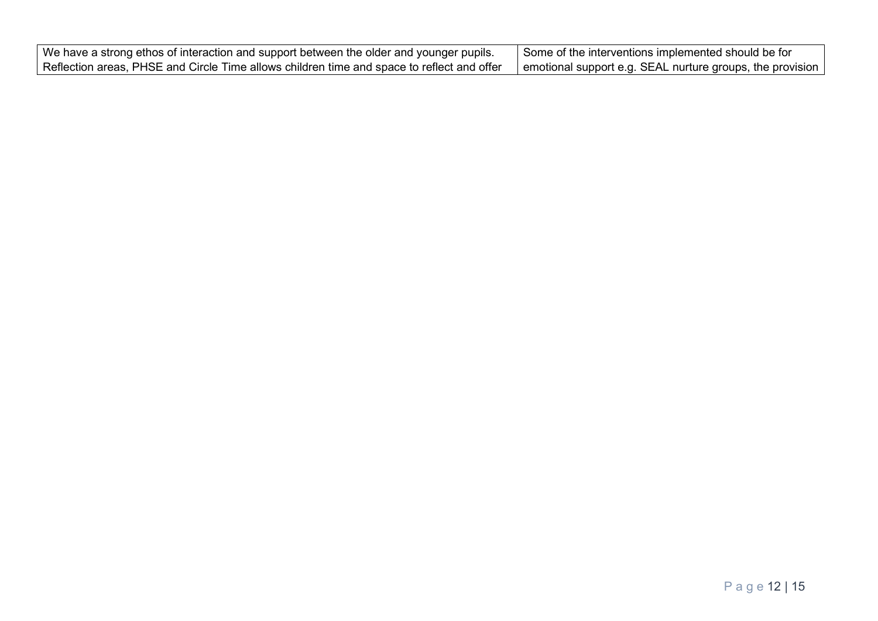| We have a strong ethos of interaction and support between the older and younger pupils.                  | Some of the interventions implemented should be for       |
|----------------------------------------------------------------------------------------------------------|-----------------------------------------------------------|
| $\mid$ Reflection areas, PHSE and Circle Time allows children time and space to reflect and offer $\mid$ | emotional support e.g. SEAL nurture groups, the provision |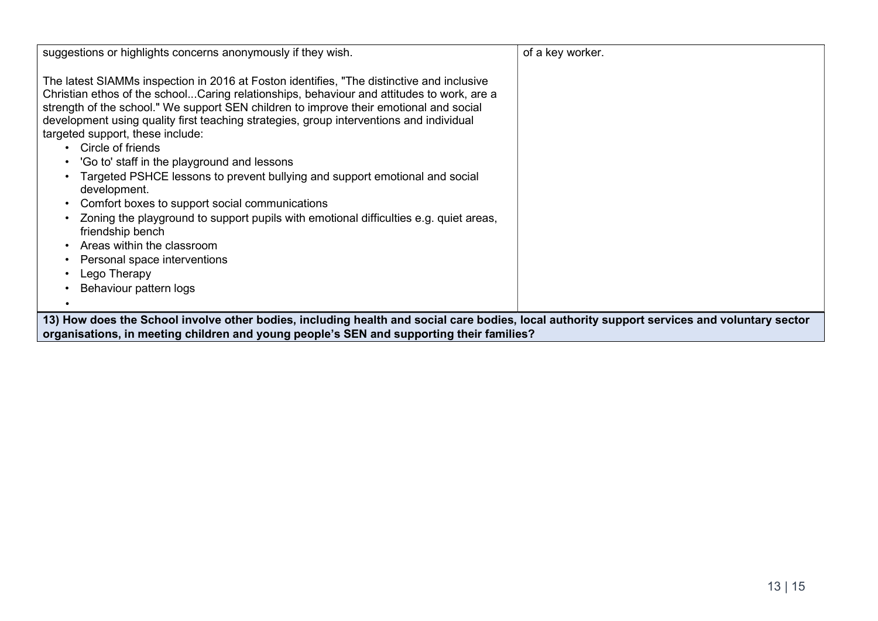| suggestions or highlights concerns anonymously if they wish.                                                                                                                                                                                                                                                                                                                                                                                                                                                                                                                                                                                                                                                                                                                                                                                              | of a key worker. |  |
|-----------------------------------------------------------------------------------------------------------------------------------------------------------------------------------------------------------------------------------------------------------------------------------------------------------------------------------------------------------------------------------------------------------------------------------------------------------------------------------------------------------------------------------------------------------------------------------------------------------------------------------------------------------------------------------------------------------------------------------------------------------------------------------------------------------------------------------------------------------|------------------|--|
| The latest SIAMMs inspection in 2016 at Foston identifies, "The distinctive and inclusive<br>Christian ethos of the schoolCaring relationships, behaviour and attitudes to work, are a<br>strength of the school." We support SEN children to improve their emotional and social<br>development using quality first teaching strategies, group interventions and individual<br>targeted support, these include:<br>Circle of friends<br>'Go to' staff in the playground and lessons<br>Targeted PSHCE lessons to prevent bullying and support emotional and social<br>development.<br>Comfort boxes to support social communications<br>Zoning the playground to support pupils with emotional difficulties e.g. quiet areas,<br>friendship bench<br>Areas within the classroom<br>Personal space interventions<br>Lego Therapy<br>Behaviour pattern logs |                  |  |
| 13) How does the School involve other bodies, including health and social care bodies, local authority support services and voluntary sector<br>organisations, in meeting children and young people's SEN and supporting their families?                                                                                                                                                                                                                                                                                                                                                                                                                                                                                                                                                                                                                  |                  |  |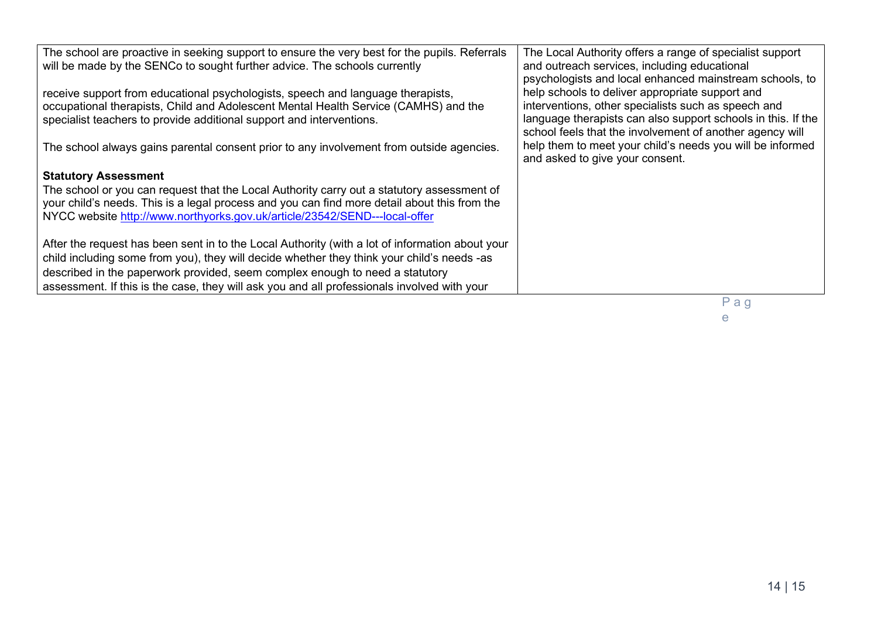| The school are proactive in seeking support to ensure the very best for the pupils. Referrals<br>will be made by the SENCo to sought further advice. The schools currently                                                                                               | The Local Authority offers a range of specialist support<br>and outreach services, including educational<br>psychologists and local enhanced mainstream schools, to                                                                |
|--------------------------------------------------------------------------------------------------------------------------------------------------------------------------------------------------------------------------------------------------------------------------|------------------------------------------------------------------------------------------------------------------------------------------------------------------------------------------------------------------------------------|
| receive support from educational psychologists, speech and language therapists,<br>occupational therapists, Child and Adolescent Mental Health Service (CAMHS) and the<br>specialist teachers to provide additional support and interventions.                           | help schools to deliver appropriate support and<br>interventions, other specialists such as speech and<br>language therapists can also support schools in this. If the<br>school feels that the involvement of another agency will |
| The school always gains parental consent prior to any involvement from outside agencies.                                                                                                                                                                                 | help them to meet your child's needs you will be informed<br>and asked to give your consent.                                                                                                                                       |
| <b>Statutory Assessment</b>                                                                                                                                                                                                                                              |                                                                                                                                                                                                                                    |
| The school or you can request that the Local Authority carry out a statutory assessment of<br>your child's needs. This is a legal process and you can find more detail about this from the<br>NYCC website http://www.northyorks.gov.uk/article/23542/SEND---local-offer |                                                                                                                                                                                                                                    |
| After the request has been sent in to the Local Authority (with a lot of information about your                                                                                                                                                                          |                                                                                                                                                                                                                                    |
| child including some from you), they will decide whether they think your child's needs -as                                                                                                                                                                               |                                                                                                                                                                                                                                    |
| described in the paperwork provided, seem complex enough to need a statutory<br>assessment. If this is the case, they will ask you and all professionals involved with your                                                                                              |                                                                                                                                                                                                                                    |